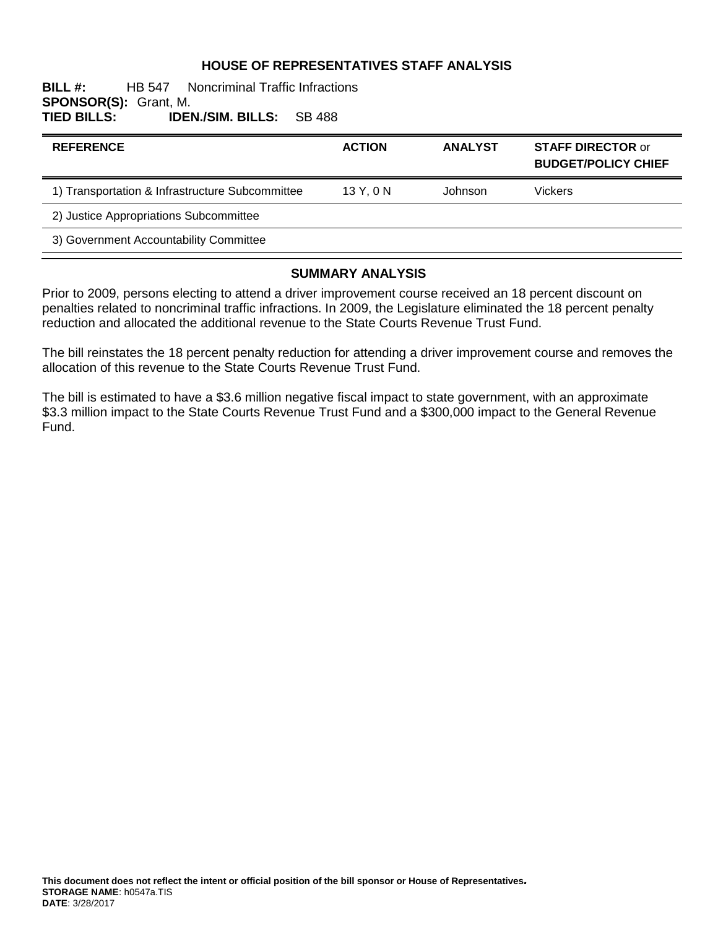#### **HOUSE OF REPRESENTATIVES STAFF ANALYSIS**

#### **BILL #:** HB 547 Noncriminal Traffic Infractions **SPONSOR(S):** Grant, M. **TIED BILLS: IDEN./SIM. BILLS:** SB 488

| <b>REFERENCE</b>                                | <b>ACTION</b> | <b>ANALYST</b> | <b>STAFF DIRECTOR or</b><br><b>BUDGET/POLICY CHIEF</b> |
|-------------------------------------------------|---------------|----------------|--------------------------------------------------------|
| 1) Transportation & Infrastructure Subcommittee | 13Y.0N        | Johnson        | <b>Vickers</b>                                         |
| 2) Justice Appropriations Subcommittee          |               |                |                                                        |
| 3) Government Accountability Committee          |               |                |                                                        |

#### **SUMMARY ANALYSIS**

Prior to 2009, persons electing to attend a driver improvement course received an 18 percent discount on penalties related to noncriminal traffic infractions. In 2009, the Legislature eliminated the 18 percent penalty reduction and allocated the additional revenue to the State Courts Revenue Trust Fund.

The bill reinstates the 18 percent penalty reduction for attending a driver improvement course and removes the allocation of this revenue to the State Courts Revenue Trust Fund.

The bill is estimated to have a \$3.6 million negative fiscal impact to state government, with an approximate \$3.3 million impact to the State Courts Revenue Trust Fund and a \$300,000 impact to the General Revenue Fund.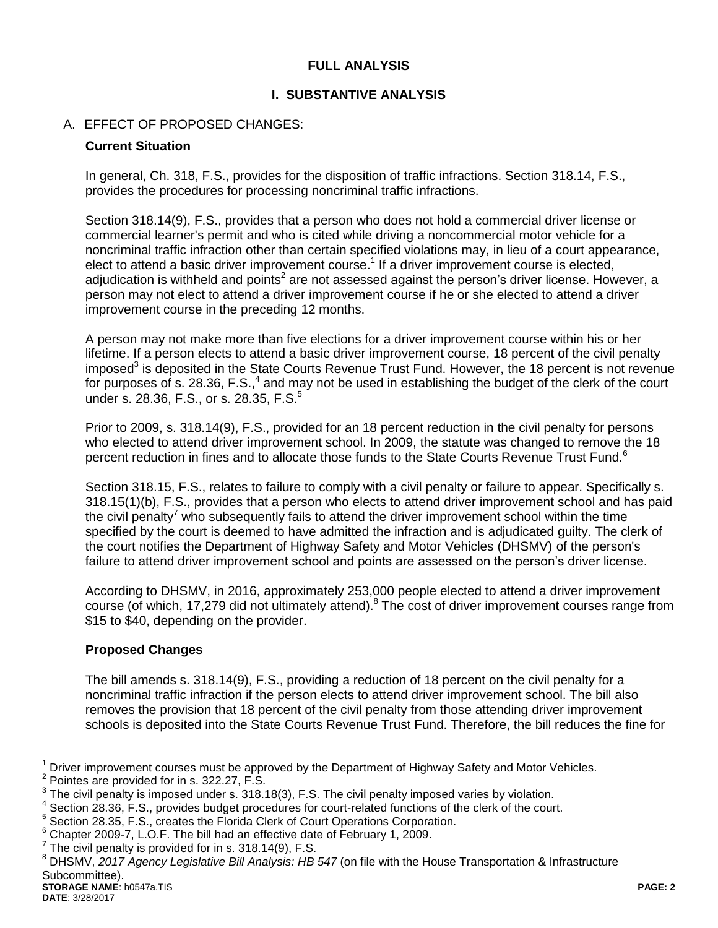### **FULL ANALYSIS**

## **I. SUBSTANTIVE ANALYSIS**

## A. EFFECT OF PROPOSED CHANGES:

#### **Current Situation**

In general, Ch. 318, F.S., provides for the disposition of traffic infractions. Section 318.14, F.S., provides the procedures for processing noncriminal traffic infractions.

Section 318.14(9), F.S., provides that a person who does not hold a commercial driver license or commercial learner's permit and who is cited while driving a noncommercial motor vehicle for a noncriminal traffic infraction other than certain specified violations may, in lieu of a court appearance, elect to attend a basic driver improvement course.<sup>1</sup> If a driver improvement course is elected, adjudication is withheld and points<sup>2</sup> are not assessed against the person's driver license. However, a person may not elect to attend a driver improvement course if he or she elected to attend a driver improvement course in the preceding 12 months.

A person may not make more than five elections for a driver improvement course within his or her lifetime. If a person elects to attend a basic driver improvement course, 18 percent of the civil penalty imposed<sup>3</sup> is deposited in the State Courts Revenue Trust Fund. However, the 18 percent is not revenue for purposes of s. 28.36, F.S., $4$  and may not be used in establishing the budget of the clerk of the court under s. 28.36, F.S., or s. 28.35, F.S.<sup>5</sup>

Prior to 2009, s. 318.14(9), F.S., provided for an 18 percent reduction in the civil penalty for persons who elected to attend driver improvement school. In 2009, the statute was changed to remove the 18 percent reduction in fines and to allocate those funds to the State Courts Revenue Trust Fund.<sup>6</sup>

Section 318.15, F.S., relates to failure to comply with a civil penalty or failure to appear. Specifically s. 318.15(1)(b), F.S., provides that a person who elects to attend driver improvement school and has paid the civil penalty<sup>7</sup> who subsequently fails to attend the driver improvement school within the time specified by the court is deemed to have admitted the infraction and is adjudicated guilty. The clerk of the court notifies the Department of Highway Safety and Motor Vehicles (DHSMV) of the person's failure to attend driver improvement school and points are assessed on the person's driver license.

According to DHSMV, in 2016, approximately 253,000 people elected to attend a driver improvement course (of which, 17,279 did not ultimately attend).<sup>8</sup> The cost of driver improvement courses range from \$15 to \$40, depending on the provider.

### **Proposed Changes**

The bill amends s. 318.14(9), F.S., providing a reduction of 18 percent on the civil penalty for a noncriminal traffic infraction if the person elects to attend driver improvement school. The bill also removes the provision that 18 percent of the civil penalty from those attending driver improvement schools is deposited into the State Courts Revenue Trust Fund. Therefore, the bill reduces the fine for

**STORAGE NAME**: h0547a.TIS **PAGE: 2** <sup>8</sup> DHSMV, *2017 Agency Legislative Bill Analysis: HB 547* (on file with the House Transportation & Infrastructure Subcommittee).

 $\overline{a}$ 

Driver improvement courses must be approved by the Department of Highway Safety and Motor Vehicles.

 $2$  Pointes are provided for in s. 322.27, F.S.

 $3$  The civil penalty is imposed under s. 318.18(3), F.S. The civil penalty imposed varies by violation.

<sup>&</sup>lt;sup>4</sup> Section 28.36, F.S., provides budget procedures for court-related functions of the clerk of the court.

<sup>&</sup>lt;sup>5</sup> Section 28.35, F.S., creates the Florida Clerk of Court Operations Corporation.

 $6$  Chapter 2009-7, L.O.F. The bill had an effective date of February 1, 2009.

 $7$  The civil penalty is provided for in s. 318.14(9), F.S.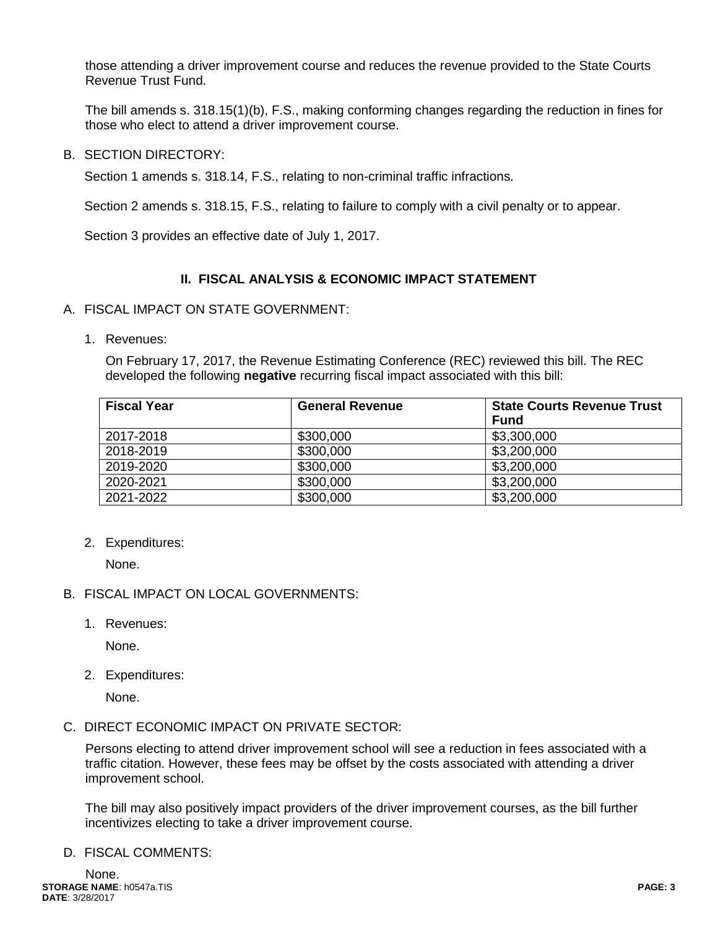those attending a driver improvement course and reduces the revenue provided to the State Courts Revenue Trust Fund.

The bill amends s. 318.15(1)(b), F.S., making conforming changes regarding the reduction in fines for those who elect to attend a driver improvement course.

B. SECTION DIRECTORY:

Section 1 amends s. 318.14, F.S., relating to non-criminal traffic infractions.

Section 2 amends s. 318.15, F.S., relating to failure to comply with a civil penalty or to appear.

Section 3 provides an effective date of July 1, 2017.

### **II. FISCAL ANALYSIS & ECONOMIC IMPACT STATEMENT**

- A. FISCAL IMPACT ON STATE GOVERNMENT:
	- 1. Revenues:

On February 17, 2017, the Revenue Estimating Conference (REC) reviewed this bill. The REC developed the following **negative** recurring fiscal impact associated with this bill:

| <b>Fiscal Year</b> | <b>General Revenue</b> | <b>State Courts Revenue Trust</b><br><b>Fund</b> |
|--------------------|------------------------|--------------------------------------------------|
| 2017-2018          | \$300,000              | \$3,300,000                                      |
| 2018-2019          | \$300,000              | \$3,200,000                                      |
| 2019-2020          | \$300,000              | \$3,200,000                                      |
| 2020-2021          | \$300,000              | \$3,200,000                                      |
| 2021-2022          | \$300,000              | \$3,200,000                                      |

2. Expenditures:

None.

- B. FISCAL IMPACT ON LOCAL GOVERNMENTS:
	- 1. Revenues:

None.

2. Expenditures:

None.

C. DIRECT ECONOMIC IMPACT ON PRIVATE SECTOR:

Persons electing to attend driver improvement school will see a reduction in fees associated with a traffic citation. However, these fees may be offset by the costs associated with attending a driver improvement school.

The bill may also positively impact providers of the driver improvement courses, as the bill further incentivizes electing to take a driver improvement course.

D. FISCAL COMMENTS: